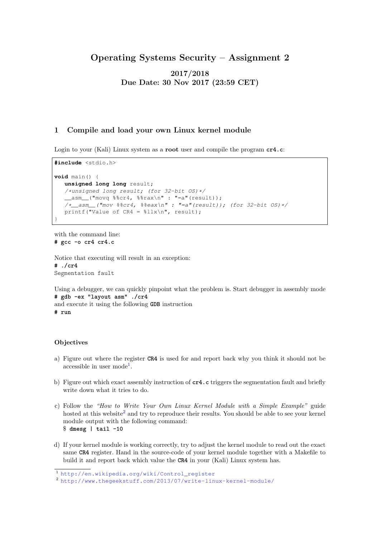# Operating Systems Security – Assignment 2

2017/2018 Due Date: 30 Nov 2017 (23:59 CET)

## 1 Compile and load your own Linux kernel module

Login to your (Kali) Linux system as a root user and compile the program **cr4.c**:

```
#include <stdio.h>
void main() {
  unsigned long long result;
  /*unsigned long result; (for 32-bit OS)*/
  __asm__("movq %%cr4, %%rax\n" : "=a"(result));
  \frac{1}{2} /*__asm_("mov %%cr4, %%eax\n" : "=a"(result)); (for 32-bit OS)*/
  printf("Value of CR4 = %llx\n", result);
}
```
with the command line: **# gcc -o cr4 cr4.c**

Notice that executing will result in an exception: **# ./cr4** Segmentation fault

Using a debugger, we can quickly pinpoint what the problem is. Start debugger in assembly mode **# gdb -ex "layout asm" ./cr4** and execute it using the following **GDB** instruction **# run**

#### **Objectives**

- a) Figure out where the register **CR4** is used for and report back why you think it should not be accessible in user mode<sup>[1](#page-0-0)</sup>.
- b) Figure out which exact assembly instruction of **cr4.c** triggers the segmentation fault and briefly write down what it tries to do.
- c) Follow the "How to Write Your Own Linux Kernel Module with a Simple Example" guide hosted at this website<sup>[2](#page-0-1)</sup> and try to reproduce their results. You should be able to see your kernel module output with the following command: \$ **dmesg | tail -10**
- d) If your kernel module is working correctly, try to adjust the kernel module to read out the exact same **CR4** register. Hand in the source-code of your kernel module together with a Makefile to build it and report back which value the **CR4** in your (Kali) Linux system has.

<span id="page-0-0"></span><sup>1</sup> [http://en.wikipedia.org/wiki/Control\\_register](http://en.wikipedia.org/wiki/Control_register)

<span id="page-0-1"></span><sup>2</sup> <http://www.thegeekstuff.com/2013/07/write-linux-kernel-module/>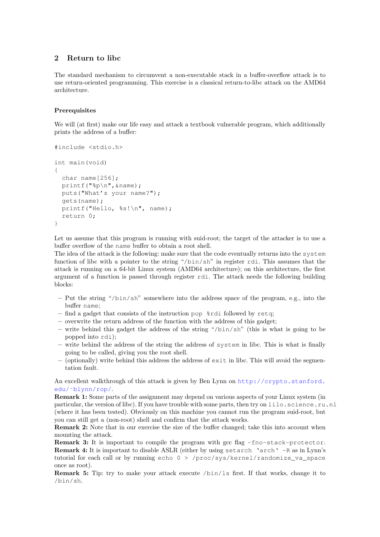# 2 Return to libc

The standard mechanism to circumvent a non-executable stack in a buffer-overflow attack is to use return-oriented programming. This exercise is a classical return-to-libc attack on the AMD64 architecture.

### **Prerequisites**

We will (at first) make our life easy and attack a textbook vulnerable program, which additionally prints the address of a buffer:

```
#include <stdio.h>
int main(void)
{
  char name[256];
 printf("%p\n",&name);
  puts("What's your name?");
  gets(name);
 printf("Hello, %s!\n", name);
  return 0;
}
```
Let us assume that this program is running with suid-root; the target of the attacker is to use a buffer overflow of the name buffer to obtain a root shell.

The idea of the attack is the following: make sure that the code eventually returns into the system function of libc with a pointer to the string "/bin/sh" in register rdi. This assumes that the attack is running on a 64-bit Linux system (AMD64 architecture); on this architecture, the first argument of a function is passed through register rdi. The attack needs the following building blocks:

- Put the string "/bin/sh" somewhere into the address space of the program, e.g., into the buffer name;
- $-$  find a gadget that consists of the instruction pop  $\delta$ rdi followed by retq;
- overwrite the return address of the function with the address of this gadget;
- write behind this gadget the address of the string "/bin/sh" (this is what is going to be popped into rdi);
- write behind the address of the string the address of system in libc. This is what is finally going to be called, giving you the root shell.
- $-$  (optionally) write behind this address the address of  $\epsilon \times i$  in libc. This will avoid the segmentation fault.

An excellent walkthrough of this attack is given by Ben Lynn on [http://crypto.stanford.](http://crypto.stanford.edu/~blynn/rop/) [edu/˜blynn/rop/](http://crypto.stanford.edu/~blynn/rop/).

Remark 1: Some parts of the assignment may depend on various aspects of your Linux system (in particular, the version of libc). If you have trouble with some parts, then try on lilo.science.ru.nl (where it has been tested). Obviously on this machine you cannot run the program suid-root, but you can still get a (non-root) shell and confirm that the attack works.

Remark 2: Note that in our exercise the size of the buffer changed; take this into account when mounting the attack.

Remark 3: It is important to compile the program with gcc flag -fno-stack-protector. **Remark 4:** It is important to disable  $ASLR$  (either by using setarch 'arch'  $-R$  as in Lynn's tutorial for each call or by running echo 0 > /proc/sys/kernel/randomize\_va\_space once as root).

Remark 5: Tip: try to make your attack execute /bin/ls first. If that works, change it to /bin/sh.